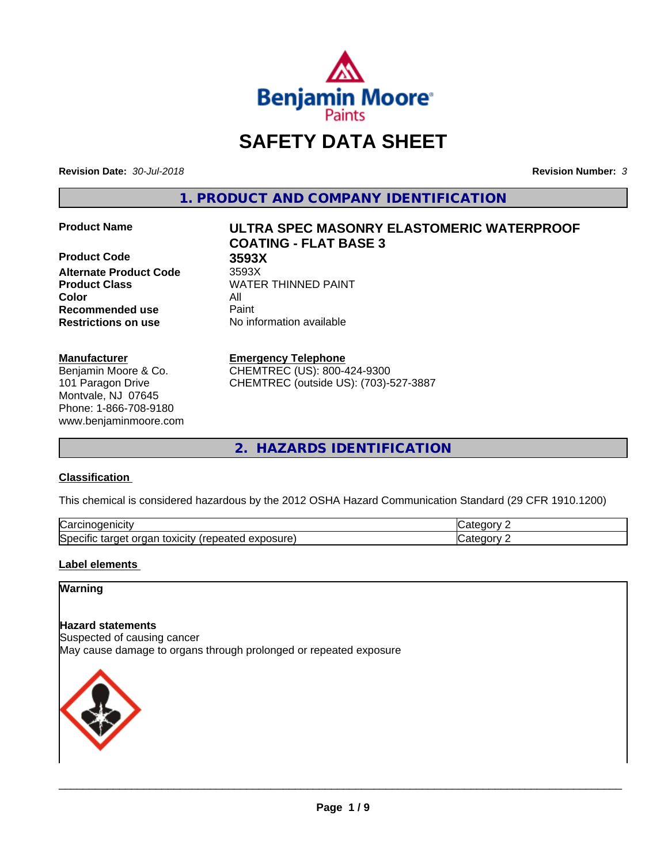

# **SAFETY DATA SHEET**

**Revision Date:** *30-Jul-2018* **Revision Number:** *3*

**1. PRODUCT AND COMPANY IDENTIFICATION**

**Product Code 3593X Alternate Product Code** 3593X **Color** All **Recommended use** Paint **Restrictions on use** No information available

#### **Manufacturer**

Benjamin Moore & Co. 101 Paragon Drive Montvale, NJ 07645 Phone: 1-866-708-9180 www.benjaminmoore.com

# **Product Name ULTRA SPEC MASONRY ELASTOMERIC WATERPROOF COATING - FLAT BASE 3**

**Product Class WATER THINNED PAINT** 

#### **Emergency Telephone**

CHEMTREC (US): 800-424-9300 CHEMTREC (outside US): (703)-527-3887

**2. HAZARDS IDENTIFICATION**

### **Classification**

This chemical is considered hazardous by the 2012 OSHA Hazard Communication Standard (29 CFR 1910.1200)

| ∽<br>AICID<br>vai                                                                                                         | - 10       |
|---------------------------------------------------------------------------------------------------------------------------|------------|
| ∽<br><b>posure</b><br>exr<br>organ<br>Spe <sup>r</sup><br>target<br>toxicity<br>tar<br>repe.<br>CIHC<br>$\sim$ -different | ---<br>. . |

### **Label elements**

## **Warning**

#### **Hazard statements**

Suspected of causing cancer May cause damage to organs through prolonged or repeated exposure

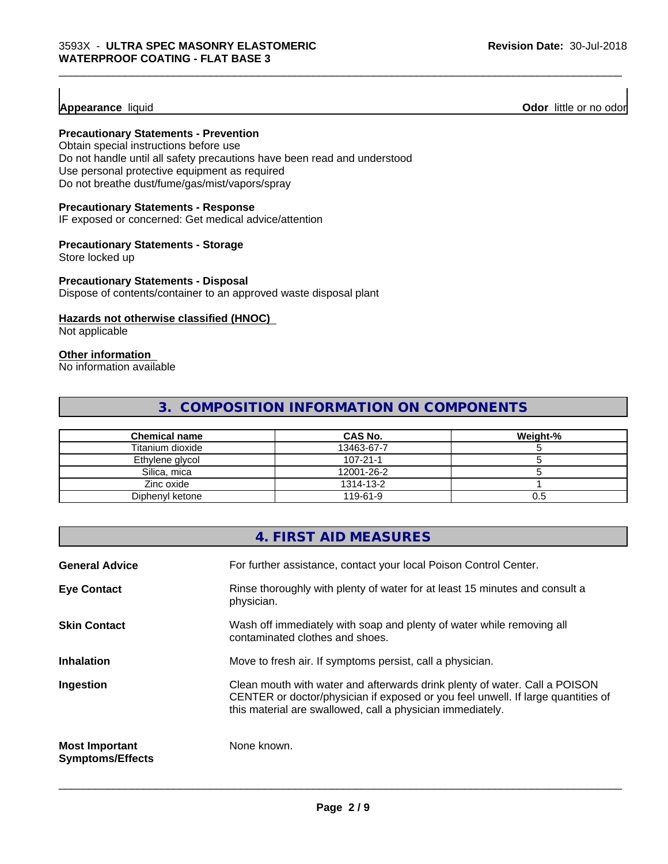**Appearance** liquid **Odor 11** Odor little or no odor

#### **Precautionary Statements - Prevention**

Obtain special instructions before use Do not handle until all safety precautions have been read and understood Use personal protective equipment as required Do not breathe dust/fume/gas/mist/vapors/spray

#### **Precautionary Statements - Response**

IF exposed or concerned: Get medical advice/attention

#### **Precautionary Statements - Storage**

Store locked up

#### **Precautionary Statements - Disposal**

Dispose of contents/container to an approved waste disposal plant

### **Hazards not otherwise classified (HNOC)**

Not applicable

# **Other information**

No information available

# **3. COMPOSITION INFORMATION ON COMPONENTS**

\_\_\_\_\_\_\_\_\_\_\_\_\_\_\_\_\_\_\_\_\_\_\_\_\_\_\_\_\_\_\_\_\_\_\_\_\_\_\_\_\_\_\_\_\_\_\_\_\_\_\_\_\_\_\_\_\_\_\_\_\_\_\_\_\_\_\_\_\_\_\_\_\_\_\_\_\_\_\_\_\_\_\_\_\_\_\_\_\_\_\_\_\_

| <b>Chemical name</b> | <b>CAS No.</b> | Weight-% |
|----------------------|----------------|----------|
| Titanium dioxide     | 13463-67-7     |          |
| Ethylene glycol      | $107 - 21 - 1$ |          |
| Silica, mica         | 12001-26-2     |          |
| Zinc oxide           | 1314-13-2      |          |
| Diphenyl ketone      | 119-61-9       | U.5      |

|                                                  | 4. FIRST AID MEASURES                                                                                                                                                                                                        |
|--------------------------------------------------|------------------------------------------------------------------------------------------------------------------------------------------------------------------------------------------------------------------------------|
| <b>General Advice</b>                            | For further assistance, contact your local Poison Control Center.                                                                                                                                                            |
| <b>Eye Contact</b>                               | Rinse thoroughly with plenty of water for at least 15 minutes and consult a<br>physician.                                                                                                                                    |
| <b>Skin Contact</b>                              | Wash off immediately with soap and plenty of water while removing all<br>contaminated clothes and shoes.                                                                                                                     |
| <b>Inhalation</b>                                | Move to fresh air. If symptoms persist, call a physician.                                                                                                                                                                    |
| Ingestion                                        | Clean mouth with water and afterwards drink plenty of water. Call a POISON<br>CENTER or doctor/physician if exposed or you feel unwell. If large quantities of<br>this material are swallowed, call a physician immediately. |
| <b>Most Important</b><br><b>Symptoms/Effects</b> | None known.                                                                                                                                                                                                                  |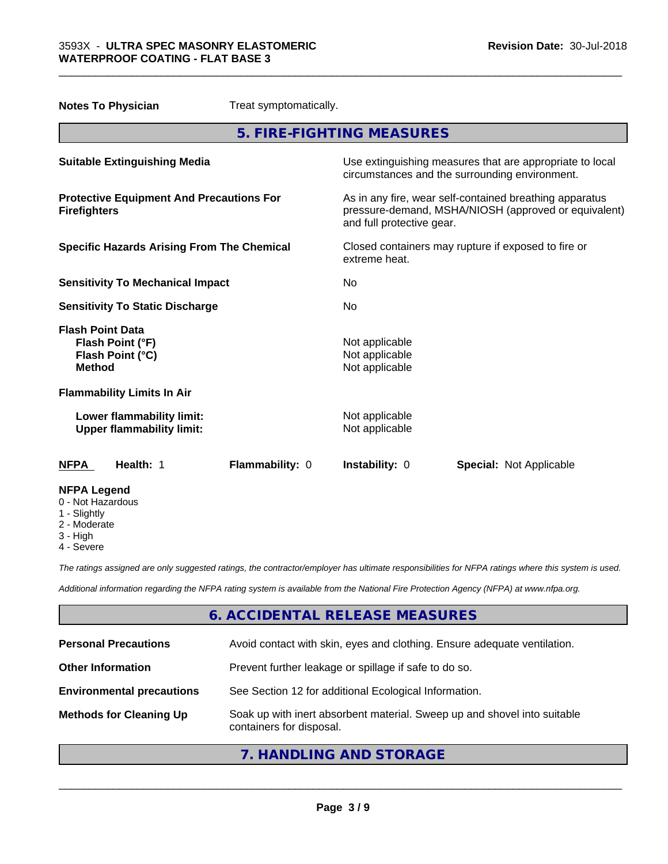**Notes To Physician** Treat symptomatically.

| 5. FIRE-FIGHTING MEASURES                                                        |                                                                                                                                              |  |
|----------------------------------------------------------------------------------|----------------------------------------------------------------------------------------------------------------------------------------------|--|
| <b>Suitable Extinguishing Media</b>                                              | Use extinguishing measures that are appropriate to local<br>circumstances and the surrounding environment.                                   |  |
| <b>Protective Equipment And Precautions For</b><br><b>Firefighters</b>           | As in any fire, wear self-contained breathing apparatus<br>pressure-demand, MSHA/NIOSH (approved or equivalent)<br>and full protective gear. |  |
| <b>Specific Hazards Arising From The Chemical</b>                                | Closed containers may rupture if exposed to fire or<br>extreme heat.                                                                         |  |
| <b>Sensitivity To Mechanical Impact</b>                                          | No                                                                                                                                           |  |
| <b>Sensitivity To Static Discharge</b>                                           | No                                                                                                                                           |  |
| <b>Flash Point Data</b><br>Flash Point (°F)<br>Flash Point (°C)<br><b>Method</b> | Not applicable<br>Not applicable<br>Not applicable                                                                                           |  |
| <b>Flammability Limits In Air</b>                                                |                                                                                                                                              |  |
| Lower flammability limit:<br><b>Upper flammability limit:</b>                    | Not applicable<br>Not applicable                                                                                                             |  |
| Health: 1<br>Flammability: 0<br><b>NFPA</b>                                      | Instability: 0<br><b>Special: Not Applicable</b>                                                                                             |  |
| <b>NFPA Legend</b><br>0 - Not Hazardous<br>1 - Slightly<br>$\Omega$ Madeinia     |                                                                                                                                              |  |

\_\_\_\_\_\_\_\_\_\_\_\_\_\_\_\_\_\_\_\_\_\_\_\_\_\_\_\_\_\_\_\_\_\_\_\_\_\_\_\_\_\_\_\_\_\_\_\_\_\_\_\_\_\_\_\_\_\_\_\_\_\_\_\_\_\_\_\_\_\_\_\_\_\_\_\_\_\_\_\_\_\_\_\_\_\_\_\_\_\_\_\_\_

- 2 Moderate
- 3 High
- 4 Severe

*The ratings assigned are only suggested ratings, the contractor/employer has ultimate responsibilities for NFPA ratings where this system is used.*

*Additional information regarding the NFPA rating system is available from the National Fire Protection Agency (NFPA) at www.nfpa.org.*

# **6. ACCIDENTAL RELEASE MEASURES**

| <b>Personal Precautions</b>      | Avoid contact with skin, eyes and clothing. Ensure adequate ventilation.                             |
|----------------------------------|------------------------------------------------------------------------------------------------------|
| <b>Other Information</b>         | Prevent further leakage or spillage if safe to do so.                                                |
| <b>Environmental precautions</b> | See Section 12 for additional Ecological Information.                                                |
| <b>Methods for Cleaning Up</b>   | Soak up with inert absorbent material. Sweep up and shovel into suitable<br>containers for disposal. |

# **7. HANDLING AND STORAGE**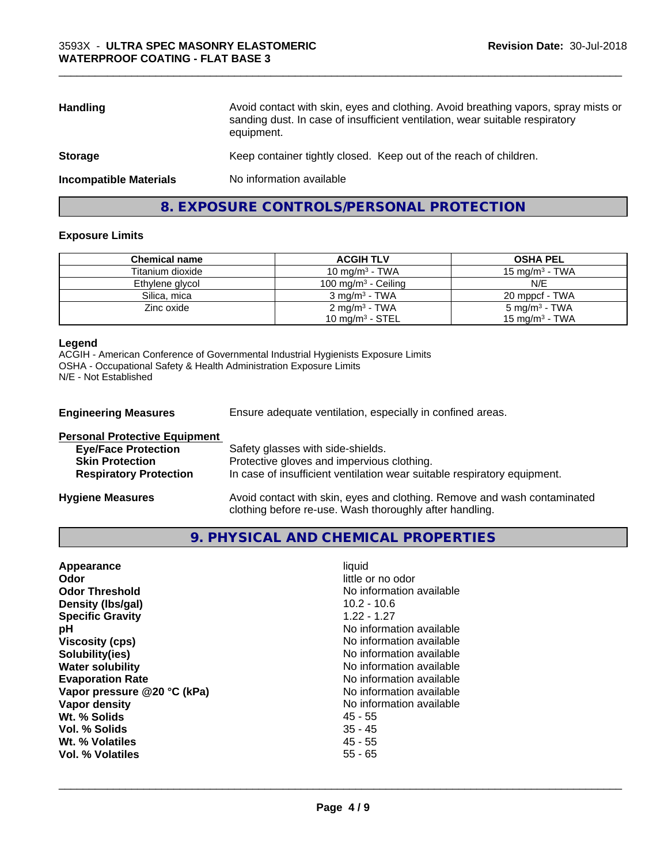| Avoid contact with skin, eyes and clothing. Avoid breathing vapors, spray mists or<br>sanding dust. In case of insufficient ventilation, wear suitable respiratory<br>equipment. |
|----------------------------------------------------------------------------------------------------------------------------------------------------------------------------------|
| Keep container tightly closed. Keep out of the reach of children.                                                                                                                |
| No information available                                                                                                                                                         |
|                                                                                                                                                                                  |

\_\_\_\_\_\_\_\_\_\_\_\_\_\_\_\_\_\_\_\_\_\_\_\_\_\_\_\_\_\_\_\_\_\_\_\_\_\_\_\_\_\_\_\_\_\_\_\_\_\_\_\_\_\_\_\_\_\_\_\_\_\_\_\_\_\_\_\_\_\_\_\_\_\_\_\_\_\_\_\_\_\_\_\_\_\_\_\_\_\_\_\_\_

# **8. EXPOSURE CONTROLS/PERSONAL PROTECTION**

#### **Exposure Limits**

| <b>Chemical name</b> | <b>ACGIH TLV</b>         | <b>OSHA PEL</b>            |
|----------------------|--------------------------|----------------------------|
| Titanium dioxide     | 10 mg/m $3$ - TWA        | 15 mg/m $3$ - TWA          |
| Ethylene glycol      | 100 mg/m $3$ - Ceiling   | N/E                        |
| Silica, mica         | $3 \text{ mg/m}^3$ - TWA | 20 mppcf - TWA             |
| Zinc oxide           | $2 \text{ mg/m}^3$ - TWA | $5 \text{ mg/m}^3$ - TWA   |
|                      | 10 mg/m $3$ - STEL       | 15 mg/m <sup>3</sup> - TWA |

#### **Legend**

ACGIH - American Conference of Governmental Industrial Hygienists Exposure Limits OSHA - Occupational Safety & Health Administration Exposure Limits N/E - Not Established

| <b>Engineering Measures</b>          | Ensure adequate ventilation, especially in confined areas.                                                                          |  |
|--------------------------------------|-------------------------------------------------------------------------------------------------------------------------------------|--|
| <b>Personal Protective Equipment</b> |                                                                                                                                     |  |
| <b>Eye/Face Protection</b>           | Safety glasses with side-shields.                                                                                                   |  |
| <b>Skin Protection</b>               | Protective gloves and impervious clothing.                                                                                          |  |
| <b>Respiratory Protection</b>        | In case of insufficient ventilation wear suitable respiratory equipment.                                                            |  |
| <b>Hygiene Measures</b>              | Avoid contact with skin, eyes and clothing. Remove and wash contaminated<br>clothing before re-use. Wash thoroughly after handling. |  |

**9. PHYSICAL AND CHEMICAL PROPERTIES**

| Appearance                  | liquid                   |
|-----------------------------|--------------------------|
| Odor                        | little or no odor        |
| <b>Odor Threshold</b>       | No information available |
| Density (Ibs/gal)           | $10.2 - 10.6$            |
| <b>Specific Gravity</b>     | $1.22 - 1.27$            |
| рH                          | No information available |
| <b>Viscosity (cps)</b>      | No information available |
| Solubility(ies)             | No information available |
| <b>Water solubility</b>     | No information available |
| <b>Evaporation Rate</b>     | No information available |
| Vapor pressure @20 °C (kPa) | No information available |
| Vapor density               | No information available |
| Wt. % Solids                | $45 - 55$                |
| Vol. % Solids               | $35 - 45$                |
| Wt. % Volatiles             | $45 - 55$                |
| Vol. % Volatiles            | $55 - 65$                |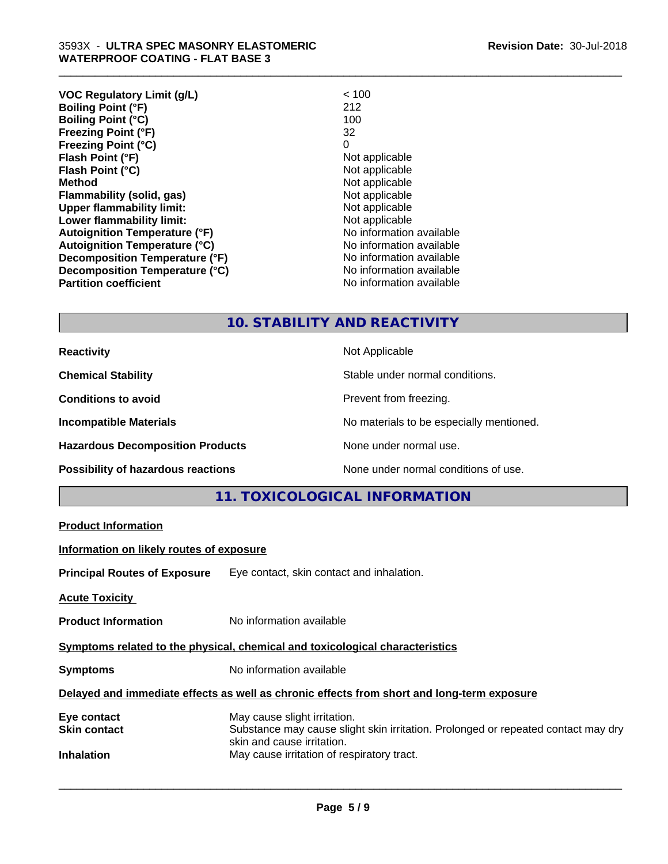| VOC Regulatory Limit (g/L)           | < 100                    |
|--------------------------------------|--------------------------|
| <b>Boiling Point (°F)</b>            | 212                      |
| <b>Boiling Point (°C)</b>            | 100                      |
| <b>Freezing Point (°F)</b>           | 32                       |
| <b>Freezing Point (°C)</b>           | 0                        |
| Flash Point (°F)                     | Not applicable           |
| Flash Point (°C)                     | Not applicable           |
| <b>Method</b>                        | Not applicable           |
| <b>Flammability (solid, gas)</b>     | Not applicable           |
| <b>Upper flammability limit:</b>     | Not applicable           |
| Lower flammability limit:            | Not applicable           |
| <b>Autoignition Temperature (°F)</b> | No information available |
| <b>Autoignition Temperature (°C)</b> | No information available |
| Decomposition Temperature (°F)       | No information available |
| Decomposition Temperature (°C)       | No information available |
| <b>Partition coefficient</b>         | No information available |
|                                      |                          |

# **10. STABILITY AND REACTIVITY**

\_\_\_\_\_\_\_\_\_\_\_\_\_\_\_\_\_\_\_\_\_\_\_\_\_\_\_\_\_\_\_\_\_\_\_\_\_\_\_\_\_\_\_\_\_\_\_\_\_\_\_\_\_\_\_\_\_\_\_\_\_\_\_\_\_\_\_\_\_\_\_\_\_\_\_\_\_\_\_\_\_\_\_\_\_\_\_\_\_\_\_\_\_

| <b>Reactivity</b>                       | Not Applicable                           |
|-----------------------------------------|------------------------------------------|
| <b>Chemical Stability</b>               | Stable under normal conditions.          |
| <b>Conditions to avoid</b>              | Prevent from freezing.                   |
| <b>Incompatible Materials</b>           | No materials to be especially mentioned. |
| <b>Hazardous Decomposition Products</b> | None under normal use.                   |
| Possibility of hazardous reactions      | None under normal conditions of use.     |

# **11. TOXICOLOGICAL INFORMATION**

|                                          | TT. TUAIUULUGIUAL INFURIVIATIUIV                                                                                |  |
|------------------------------------------|-----------------------------------------------------------------------------------------------------------------|--|
| <b>Product Information</b>               |                                                                                                                 |  |
| Information on likely routes of exposure |                                                                                                                 |  |
|                                          | <b>Principal Routes of Exposure</b> Eye contact, skin contact and inhalation.                                   |  |
| <b>Acute Toxicity</b>                    |                                                                                                                 |  |
| <b>Product Information</b>               | No information available                                                                                        |  |
|                                          | Symptoms related to the physical, chemical and toxicological characteristics                                    |  |
| <b>Symptoms</b>                          | No information available                                                                                        |  |
|                                          | Delayed and immediate effects as well as chronic effects from short and long-term exposure                      |  |
| Eye contact                              | May cause slight irritation.                                                                                    |  |
| <b>Skin contact</b>                      | Substance may cause slight skin irritation. Prolonged or repeated contact may dry<br>skin and cause irritation. |  |
| <b>Inhalation</b>                        | May cause irritation of respiratory tract.                                                                      |  |
|                                          |                                                                                                                 |  |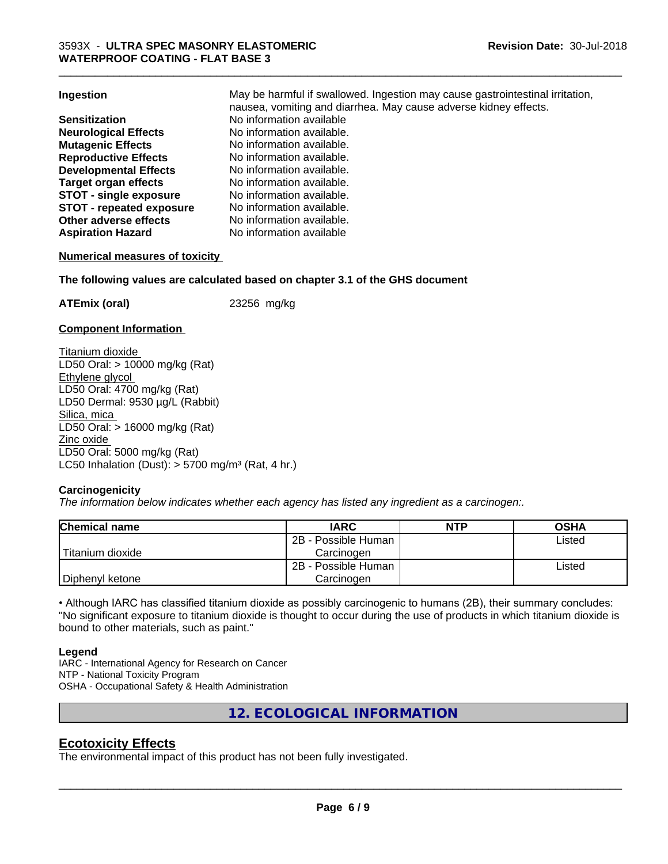| Ingestion                       | May be harmful if swallowed. Ingestion may cause gastrointestinal irritation, |
|---------------------------------|-------------------------------------------------------------------------------|
|                                 | nausea, vomiting and diarrhea. May cause adverse kidney effects.              |
| <b>Sensitization</b>            | No information available                                                      |
| <b>Neurological Effects</b>     | No information available.                                                     |
| <b>Mutagenic Effects</b>        | No information available.                                                     |
| <b>Reproductive Effects</b>     | No information available.                                                     |
| <b>Developmental Effects</b>    | No information available.                                                     |
| Target organ effects            | No information available.                                                     |
| <b>STOT - single exposure</b>   | No information available.                                                     |
| <b>STOT - repeated exposure</b> | No information available.                                                     |
| Other adverse effects           | No information available.                                                     |
| <b>Aspiration Hazard</b>        | No information available                                                      |

\_\_\_\_\_\_\_\_\_\_\_\_\_\_\_\_\_\_\_\_\_\_\_\_\_\_\_\_\_\_\_\_\_\_\_\_\_\_\_\_\_\_\_\_\_\_\_\_\_\_\_\_\_\_\_\_\_\_\_\_\_\_\_\_\_\_\_\_\_\_\_\_\_\_\_\_\_\_\_\_\_\_\_\_\_\_\_\_\_\_\_\_\_

#### **Numerical measures of toxicity**

#### **The following values are calculated based on chapter 3.1 of the GHS document**

**ATEmix (oral)** 23256 mg/kg

#### **Component Information**

Titanium dioxide LD50 Oral: > 10000 mg/kg (Rat) Ethylene glycol LD50 Oral: 4700 mg/kg (Rat) LD50 Dermal: 9530 µg/L (Rabbit) Silica, mica LD50 Oral: > 16000 mg/kg (Rat) Zinc oxide LD50 Oral: 5000 mg/kg (Rat) LC50 Inhalation (Dust):  $> 5700$  mg/m<sup>3</sup> (Rat, 4 hr.)

#### **Carcinogenicity**

*The information below indicateswhether each agency has listed any ingredient as a carcinogen:.*

| <b>Chemical name</b> | <b>IARC</b>         | <b>NTP</b> | <b>OSHA</b> |
|----------------------|---------------------|------------|-------------|
|                      | 2B - Possible Human |            | Listed      |
| Titanium dioxide     | Carcinoɑen          |            |             |
|                      | 2B - Possible Human |            | Listed      |
| Diphenyl ketone      | Carcinogen          |            |             |

• Although IARC has classified titanium dioxide as possibly carcinogenic to humans (2B), their summary concludes: "No significant exposure to titanium dioxide is thought to occur during the use of products in which titanium dioxide is bound to other materials, such as paint."

#### **Legend**

IARC - International Agency for Research on Cancer NTP - National Toxicity Program OSHA - Occupational Safety & Health Administration

**12. ECOLOGICAL INFORMATION**

### **Ecotoxicity Effects**

The environmental impact of this product has not been fully investigated.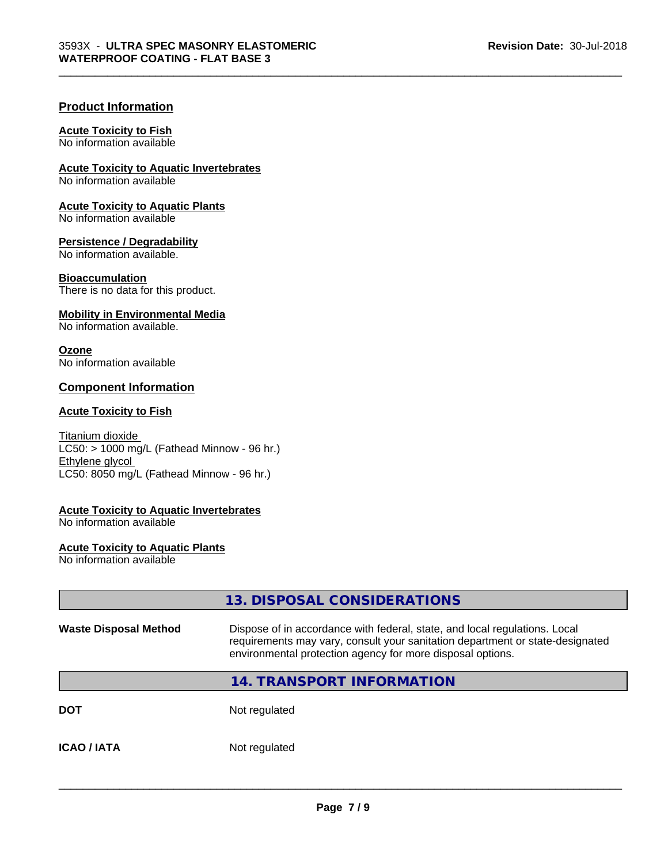\_\_\_\_\_\_\_\_\_\_\_\_\_\_\_\_\_\_\_\_\_\_\_\_\_\_\_\_\_\_\_\_\_\_\_\_\_\_\_\_\_\_\_\_\_\_\_\_\_\_\_\_\_\_\_\_\_\_\_\_\_\_\_\_\_\_\_\_\_\_\_\_\_\_\_\_\_\_\_\_\_\_\_\_\_\_\_\_\_\_\_\_\_

#### **Product Information**

#### **Acute Toxicity to Fish**

No information available

**Acute Toxicity to Aquatic Invertebrates**

No information available

**Acute Toxicity to Aquatic Plants** No information available

**Persistence / Degradability**

No information available.

**Bioaccumulation** There is no data for this product.

#### **Mobility in Environmental Media**

No information available.

#### **Ozone**

No information available

### **Component Information**

#### **Acute Toxicity to Fish**

Titanium dioxide  $LC50:$  > 1000 mg/L (Fathead Minnow - 96 hr.) Ethylene glycol LC50: 8050 mg/L (Fathead Minnow - 96 hr.)

#### **Acute Toxicity to Aquatic Invertebrates**

No information available

#### **Acute Toxicity to Aquatic Plants**

No information available

# **13. DISPOSAL CONSIDERATIONS Waste Disposal Method** Dispose of in accordance with federal, state, and local regulations. Local requirements may vary, consult your sanitation department or state-designated environmental protection agency for more disposal options. **14. TRANSPORT INFORMATION DOT** Not regulated **ICAO / IATA** Not regulated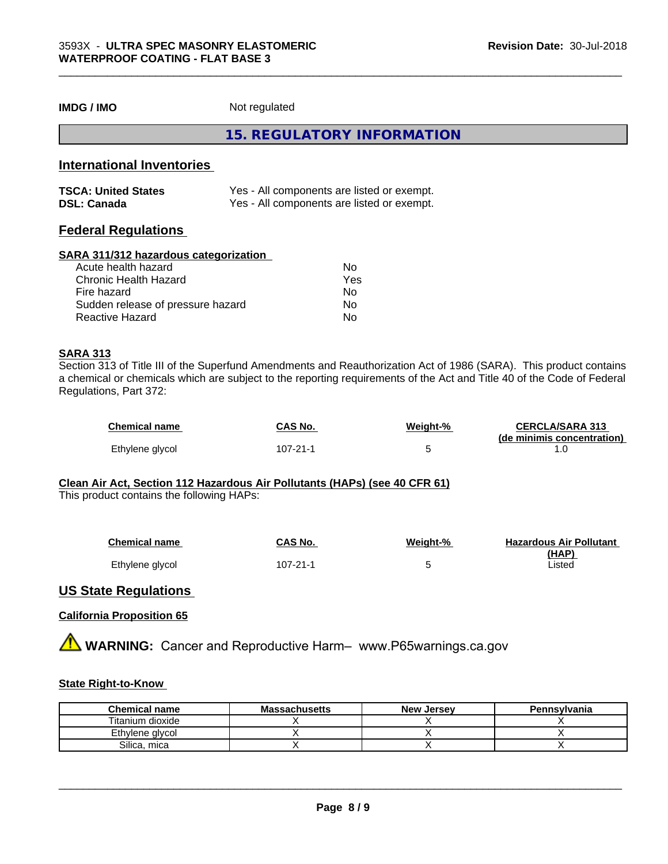**IMDG / IMO** Not regulated

**15. REGULATORY INFORMATION**

\_\_\_\_\_\_\_\_\_\_\_\_\_\_\_\_\_\_\_\_\_\_\_\_\_\_\_\_\_\_\_\_\_\_\_\_\_\_\_\_\_\_\_\_\_\_\_\_\_\_\_\_\_\_\_\_\_\_\_\_\_\_\_\_\_\_\_\_\_\_\_\_\_\_\_\_\_\_\_\_\_\_\_\_\_\_\_\_\_\_\_\_\_

### **International Inventories**

| <b>TSCA: United States</b> | Yes - All components are listed or exempt. |
|----------------------------|--------------------------------------------|
| <b>DSL: Canada</b>         | Yes - All components are listed or exempt. |

## **Federal Regulations**

#### **SARA 311/312 hazardous categorization**

| Acute health hazard               | No  |  |
|-----------------------------------|-----|--|
| Chronic Health Hazard             | Yes |  |
| Fire hazard                       | N٥  |  |
| Sudden release of pressure hazard | Nο  |  |
| Reactive Hazard                   | Nο  |  |

#### **SARA 313**

Section 313 of Title III of the Superfund Amendments and Reauthorization Act of 1986 (SARA). This product contains a chemical or chemicals which are subject to the reporting requirements of the Act and Title 40 of the Code of Federal Regulations, Part 372:

| <b>Chemical name</b> | CAS No.  | Weight-% | <b>CERCLA/SARA 313</b>     |
|----------------------|----------|----------|----------------------------|
|                      |          |          | (de minimis concentration) |
| Ethylene glycol      | 107-21-1 |          |                            |

## **Clean Air Act,Section 112 Hazardous Air Pollutants (HAPs) (see 40 CFR 61)**

This product contains the following HAPs:

| <b>Chemical name</b> | CAS No.        | Weight-% | <b>Hazardous Air Pollutant</b> |
|----------------------|----------------|----------|--------------------------------|
|                      |                |          | (HAP)                          |
| Ethylene glycol      | $107 - 21 - 1$ | -        | isted                          |

### **US State Regulations**

#### **California Proposition 65**

**AVIMARNING:** Cancer and Reproductive Harm– www.P65warnings.ca.gov

### **State Right-to-Know**

| <b>Chemical name</b> | <b>Massachusetts</b> | <b>New Jersey</b> | Pennsylvania |
|----------------------|----------------------|-------------------|--------------|
| Titanium dioxide     |                      |                   |              |
| Ethylene glycol      |                      |                   |              |
| Silica.<br>mica      |                      |                   |              |